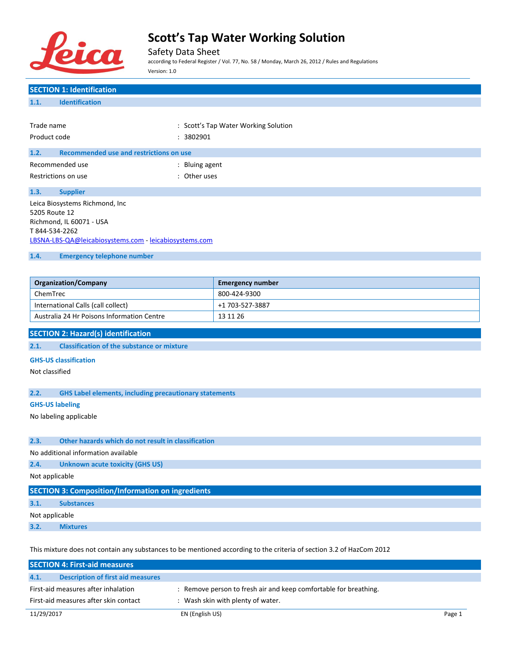

## Safety Data Sheet

according to Federal Register / Vol. 77, No. 58 / Monday, March 26, 2012 / Rules and Regulations Version: 1.0

## **SECTION 1: Identification 1.1. Identification** Trade name  $\qquad \qquad :$  Scott's Tap Water Working Solution Product code : 3802901 **1.2. Recommended use and restrictions on use** Recommended use in the set of the set of the Recommended use Restrictions on use the set of the set of the set of the set of the set of the set of the set of the set of the set of the set of the set of the set of the set of the set of the set of the set of the set of the set of the **1.3. Supplier** Leica Biosystems Richmond, Inc 5205 Route 12 Richmond, IL 60071 - USA T 844-534-2262 [LBSNA-LBS-QA@leicabiosystems.com](mailto:LBSNA-LBS-QA@leicabiosystems.com) - <leicabiosystems.com> **1.4. Emergency telephone number Organization/Company Emergency number** ChemTrec 800-424-9300 International Calls (call collect) +1 703-527-3887 Australia 24 Hr Poisons Information Centre 13 11 26 **SECTION 2: Hazard(s) identification 2.1. Classification of the substance or mixture GHS-US classification** Not classified **2.2. GHS Label elements, including precautionary statements GHS-US labeling** No labeling applicable **2.3. Other hazards which do not result in classification** No additional information available **2.4. Unknown acute toxicity (GHS US)** Not applicable **SECTION 3: Composition/Information on ingredients 3.1. Substances** Not applicable **3.2. Mixtures**

This mixture does not contain any substances to be mentioned according to the criteria of section 3.2 of HazCom 2012

|                                       | <b>SECTION 4: First-aid measures</b>     |                                                                  |        |
|---------------------------------------|------------------------------------------|------------------------------------------------------------------|--------|
| 4.1.                                  | <b>Description of first aid measures</b> |                                                                  |        |
|                                       | First-aid measures after inhalation      | : Remove person to fresh air and keep comfortable for breathing. |        |
| First-aid measures after skin contact |                                          | : Wash skin with plenty of water.                                |        |
| 11/29/2017                            |                                          | EN (English US)                                                  | Page 1 |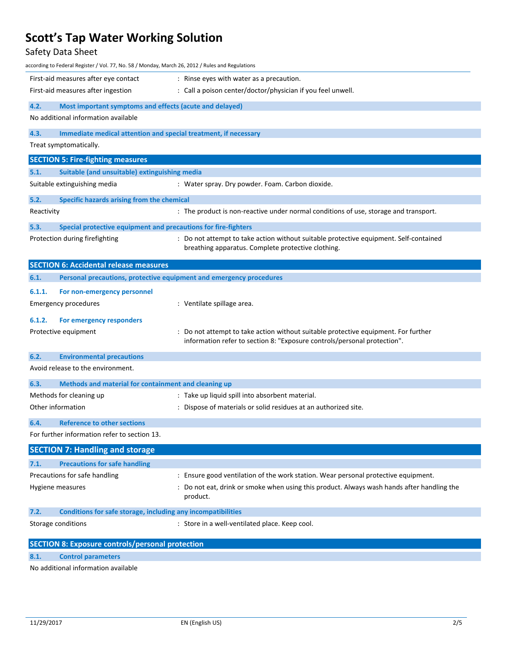## Safety Data Sheet

| according to Federal Register / Vol. 77, No. 58 / Monday, March 26, 2012 / Rules and Regulations |                                                                                                                                                              |
|--------------------------------------------------------------------------------------------------|--------------------------------------------------------------------------------------------------------------------------------------------------------------|
| First-aid measures after eye contact                                                             | : Rinse eyes with water as a precaution.                                                                                                                     |
| First-aid measures after ingestion                                                               | : Call a poison center/doctor/physician if you feel unwell.                                                                                                  |
| 4.2.<br>Most important symptoms and effects (acute and delayed)                                  |                                                                                                                                                              |
| No additional information available                                                              |                                                                                                                                                              |
| 4.3.<br>Immediate medical attention and special treatment, if necessary                          |                                                                                                                                                              |
| Treat symptomatically.                                                                           |                                                                                                                                                              |
| <b>SECTION 5: Fire-fighting measures</b>                                                         |                                                                                                                                                              |
| 5.1.<br>Suitable (and unsuitable) extinguishing media                                            |                                                                                                                                                              |
| Suitable extinguishing media                                                                     | : Water spray. Dry powder. Foam. Carbon dioxide.                                                                                                             |
| 5.2.<br>Specific hazards arising from the chemical                                               |                                                                                                                                                              |
| Reactivity                                                                                       | : The product is non-reactive under normal conditions of use, storage and transport.                                                                         |
| 5.3.<br>Special protective equipment and precautions for fire-fighters                           |                                                                                                                                                              |
| Protection during firefighting                                                                   | : Do not attempt to take action without suitable protective equipment. Self-contained<br>breathing apparatus. Complete protective clothing.                  |
| <b>SECTION 6: Accidental release measures</b>                                                    |                                                                                                                                                              |
| 6.1.<br>Personal precautions, protective equipment and emergency procedures                      |                                                                                                                                                              |
| 6.1.1.<br>For non-emergency personnel                                                            |                                                                                                                                                              |
| <b>Emergency procedures</b>                                                                      | : Ventilate spillage area.                                                                                                                                   |
| 6.1.2.<br>For emergency responders                                                               |                                                                                                                                                              |
| Protective equipment                                                                             | Do not attempt to take action without suitable protective equipment. For further<br>information refer to section 8: "Exposure controls/personal protection". |
| 6.2.<br><b>Environmental precautions</b>                                                         |                                                                                                                                                              |
| Avoid release to the environment.                                                                |                                                                                                                                                              |
| 6.3.<br>Methods and material for containment and cleaning up                                     |                                                                                                                                                              |
| Methods for cleaning up                                                                          | : Take up liquid spill into absorbent material.                                                                                                              |
| Other information                                                                                | : Dispose of materials or solid residues at an authorized site.                                                                                              |
| 6.4.<br><b>Reference to other sections</b>                                                       |                                                                                                                                                              |
| For further information refer to section 13.                                                     |                                                                                                                                                              |
| <b>SECTION 7: Handling and storage</b>                                                           |                                                                                                                                                              |
| 7.1.<br><b>Precautions for safe handling</b>                                                     |                                                                                                                                                              |
| Precautions for safe handling                                                                    | : Ensure good ventilation of the work station. Wear personal protective equipment.                                                                           |
| Hygiene measures                                                                                 | : Do not eat, drink or smoke when using this product. Always wash hands after handling the<br>product.                                                       |
| 7.2.<br>Conditions for safe storage, including any incompatibilities                             |                                                                                                                                                              |
| Storage conditions                                                                               | : Store in a well-ventilated place. Keep cool.                                                                                                               |
| <b>SECTION 8: Exposure controls/personal protection</b>                                          |                                                                                                                                                              |
| 8.1.<br><b>Control parameters</b>                                                                |                                                                                                                                                              |

No additional information available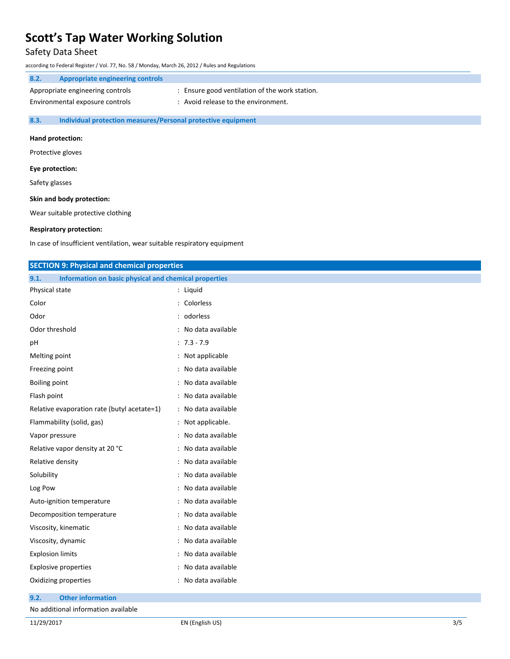## Safety Data Sheet

according to Federal Register / Vol. 77, No. 58 / Monday, March 26, 2012 / Rules and Regulations

## **8.2. Appropriate engineering controls** Appropriate engineering controls : Ensure good ventilation of the work station. Environmental exposure controls : Avoid release to the environment.

**8.3. Individual protection measures/Personal protective equipment**

#### **Hand protection:**

Protective gloves

#### **Eye protection:**

Safety glasses

#### **Skin and body protection:**

Wear suitable protective clothing

### **Respiratory protection:**

In case of insufficient ventilation, wear suitable respiratory equipment

| <b>SECTION 9: Physical and chemical properties</b>            |                     |
|---------------------------------------------------------------|---------------------|
| Information on basic physical and chemical properties<br>9.1. |                     |
| Physical state                                                | : Liquid            |
| Color                                                         | : Colorless         |
| Odor                                                          | : odorless          |
| Odor threshold                                                | : No data available |
| рH                                                            | $: 7.3 - 7.9$       |
| Melting point                                                 | : Not applicable    |
| Freezing point                                                | : No data available |
| <b>Boiling point</b>                                          | : No data available |
| Flash point                                                   | : No data available |
| Relative evaporation rate (butyl acetate=1)                   | : No data available |
| Flammability (solid, gas)                                     | : Not applicable.   |
| Vapor pressure                                                | : No data available |
| Relative vapor density at 20 °C                               | : No data available |
| Relative density                                              | : No data available |
| Solubility                                                    | : No data available |
| Log Pow                                                       | : No data available |
| Auto-ignition temperature                                     | : No data available |
| Decomposition temperature                                     | : No data available |
| Viscosity, kinematic                                          | : No data available |
| Viscosity, dynamic                                            | : No data available |
| <b>Explosion limits</b>                                       | : No data available |
| <b>Explosive properties</b>                                   | : No data available |
| Oxidizing properties                                          | : No data available |

**9.2. Other information**

No additional information available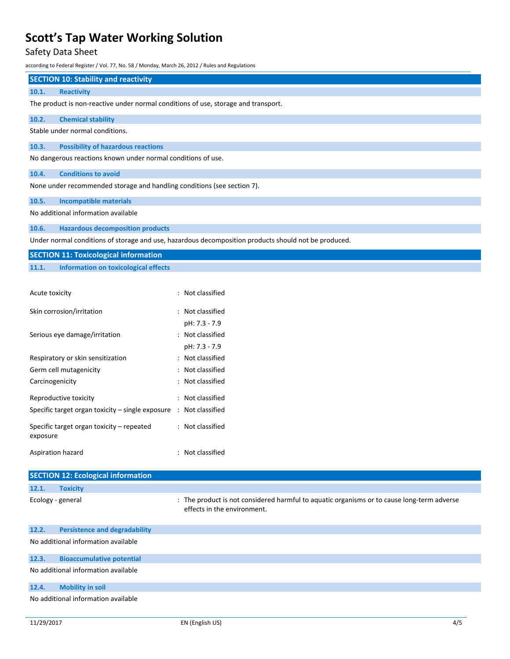## Safety Data Sheet

according to Federal Register / Vol. 77, No. 58 / Monday, March 26, 2012 / Rules and Regulations

## **SECTION 10: Stability and reactivity**

#### **10.1. Reactivity**

The product is non-reactive under normal conditions of use, storage and transport.

### **10.2. Chemical stability**

Stable under normal conditions.

### **10.3. Possibility of hazardous reactions**

No dangerous reactions known under normal conditions of use.

### **10.4. Conditions to avoid**

None under recommended storage and handling conditions (see section 7).

#### **10.5. Incompatible materials**

No additional information available

### **10.6. Hazardous decomposition products**

Under normal conditions of storage and use, hazardous decomposition products should not be produced.

| <b>SECTION 11: Toxicological information</b> |                                      |
|----------------------------------------------|--------------------------------------|
| 11.1.                                        | Information on toxicological effects |

| Acute toxicity                                        | : Not classified |
|-------------------------------------------------------|------------------|
| Skin corrosion/irritation                             | : Not classified |
|                                                       | pH: 7.3 - 7.9    |
| Serious eye damage/irritation                         | : Not classified |
|                                                       | pH: 7.3 - 7.9    |
| Respiratory or skin sensitization                     | Not classified   |
| Germ cell mutagenicity                                | Not classified   |
| Carcinogenicity                                       | Not classified   |
| Reproductive toxicity                                 | Not classified   |
| Specific target organ toxicity – single exposure      | : Not classified |
| Specific target organ toxicity – repeated<br>exposure | : Not classified |
| Aspiration hazard                                     | Not classified   |

| <b>SECTION 12: Ecological information</b> |                                      |                                                                                                                           |  |
|-------------------------------------------|--------------------------------------|---------------------------------------------------------------------------------------------------------------------------|--|
| 12.1.                                     | <b>Toxicity</b>                      |                                                                                                                           |  |
|                                           | Ecology - general                    | : The product is not considered harmful to aquatic organisms or to cause long-term adverse<br>effects in the environment. |  |
| 12.2.                                     | <b>Persistence and degradability</b> |                                                                                                                           |  |
|                                           | No additional information available  |                                                                                                                           |  |
| 12.3.                                     | <b>Bioaccumulative potential</b>     |                                                                                                                           |  |
|                                           | No additional information available  |                                                                                                                           |  |
| 12.4.                                     | <b>Mobility in soil</b>              |                                                                                                                           |  |
| No additional information available       |                                      |                                                                                                                           |  |